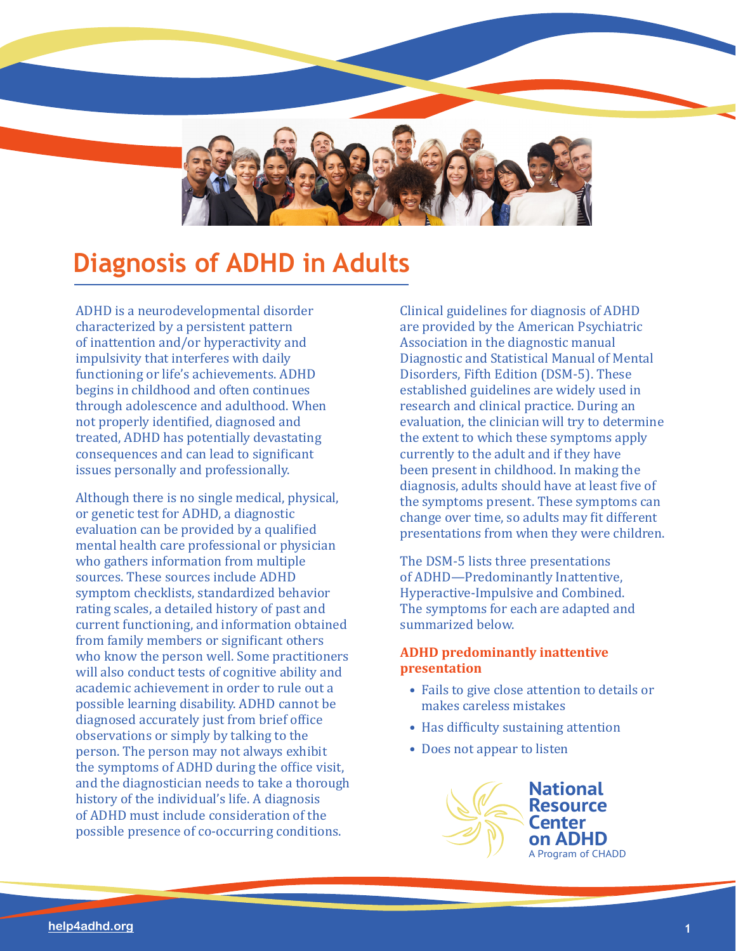

# **Diagnosis of ADHD in Adults**

ADHD is a neurodevelopmental disorder characterized by a persistent pattern of inattention and/or hyperactivity and impulsivity that interferes with daily functioning or life's achievements. ADHD begins in childhood and often continues through adolescence and adulthood. When not properly identified, diagnosed and treated, ADHD has potentially devastating consequences and can lead to significant issues personally and professionally.

Although there is no single medical, physical, or genetic test for ADHD, a diagnostic evaluation can be provided by a qualified mental health care professional or physician who gathers information from multiple sources. These sources include ADHD symptom checklists, standardized behavior rating scales, a detailed history of past and current functioning, and information obtained from family members or significant others who know the person well. Some practitioners will also conduct tests of cognitive ability and academic achievement in order to rule out a possible learning disability. ADHD cannot be diagnosed accurately just from brief office observations or simply by talking to the person. The person may not always exhibit the symptoms of ADHD during the office visit, and the diagnostician needs to take a thorough history of the individual's life. A diagnosis of ADHD must include consideration of the possible presence of co-occurring conditions.

Clinical guidelines for diagnosis of ADHD are provided by the American Psychiatric Association in the diagnostic manual Diagnostic and Statistical Manual of Mental Disorders, Fifth Edition (DSM-5). These established guidelines are widely used in research and clinical practice. During an evaluation, the clinician will try to determine the extent to which these symptoms apply currently to the adult and if they have been present in childhood. In making the diagnosis, adults should have at least five of the symptoms present. These symptoms can change over time, so adults may fit different presentations from when they were children.

The DSM-5 lists three presentations of ADHD—Predominantly Inattentive, Hyperactive-Impulsive and Combined. The symptoms for each are adapted and summarized below.

# **ADHD predominantly inattentive presentation**

- Fails to give close attention to details or makes careless mistakes
- Has difficulty sustaining attention
- Does not appear to listen

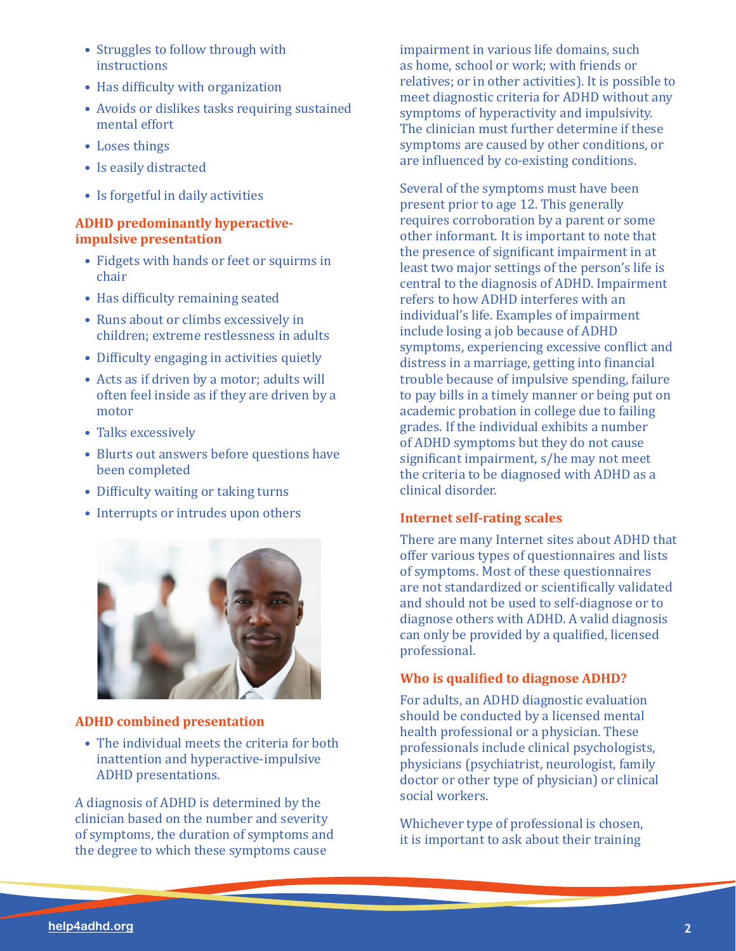- Struggles to follow through with instructions
- Has difficulty with organization
- Avoids or dislikes tasks requiring sustained mental effort
- Loses things
- Is easily distracted
- Is forgetful in daily activities

# **ADHD predominantly hyperactiveimpulsive presentation**

- Fidgets with hands or feet or squirms in chair
- Has difficulty remaining seated
- Runs about or climbs excessively in children; extreme restlessness in adults
- Difficulty engaging in activities quietly
- Acts as if driven by a motor; adults will often feel inside as if they are driven by a motor
- Talks excessively
- Blurts out answers before questions have been completed
- Difficulty waiting or taking turns
- Interrupts or intrudes upon others



# **ADHD combined presentation**

• The individual meets the criteria for both inattention and hyperactive-impulsive ADHD presentations.

A diagnosis of ADHD is determined by the clinician based on the number and severity of symptoms, the duration of symptoms and the degree to which these symptoms cause

impairment in various life domains, such as home, school or work; with friends or relatives; or in other activities). It is possible to meet diagnostic criteria for ADHD without any symptoms of hyperactivity and impulsivity. The clinician must further determine if these symptoms are caused by other conditions, or are influenced by co-existing conditions.

Several of the symptoms must have been present prior to age 12. This generally requires corroboration by a parent or some other informant. It is important to note that the presence of significant impairment in at least two major settings of the person's life is central to the diagnosis of ADHD. Impairment refers to how ADHD interferes with an individual's life. Examples of impairment include losing a job because of ADHD symptoms, experiencing excessive conflict and distress in a marriage, getting into financial trouble because of impulsive spending, failure to pay bills in a timely manner or being put on academic probation in college due to failing grades. If the individual exhibits a number of ADHD symptoms but they do not cause significant impairment, s/he may not meet the criteria to be diagnosed with ADHD as a clinical disorder.

# **Internet self-rating scales**

There are many Internet sites about ADHD that offer various types of questionnaires and lists of symptoms. Most of these questionnaires are not standardized or scientifically validated and should not be used to self-diagnose or to diagnose others with ADHD. A valid diagnosis can only be provided by a qualified, licensed professional.

# **Who is qualified to diagnose ADHD?**

For adults, an ADHD diagnostic evaluation should be conducted by a licensed mental health professional or a physician. These professionals include clinical psychologists, physicians (psychiatrist, neurologist, family doctor or other type of physician) or clinical social workers.

Whichever type of professional is chosen, it is important to ask about their training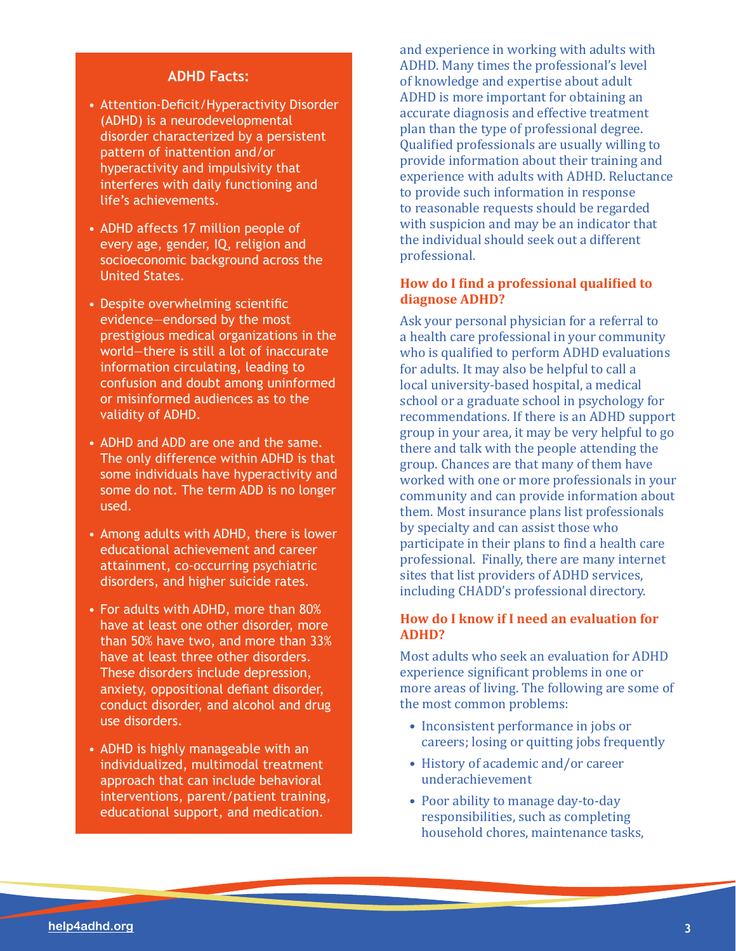#### **ADHD Facts:**

- Attention-Deficit/Hyperactivity Disorder (ADHD) is a neurodevelopmental disorder characterized by a persistent pattern of inattention and/or hyperactivity and impulsivity that interferes with daily functioning and life's achievements.
- ADHD affects 17 million people of every age, gender, IQ, religion and socioeconomic background across the United States.
- Despite overwhelming scientific evidence—endorsed by the most prestigious medical organizations in the world—there is still a lot of inaccurate information circulating, leading to confusion and doubt among uninformed or misinformed audiences as to the validity of ADHD.
- ADHD and ADD are one and the same. The only difference within ADHD is that some individuals have hyperactivity and some do not. The term ADD is no longer used.
- Among adults with ADHD, there is lower educational achievement and career attainment, co-occurring psychiatric disorders, and higher suicide rates.
- For adults with ADHD, more than 80% have at least one other disorder, more than 50% have two, and more than 33% have at least three other disorders. These disorders include depression, anxiety, oppositional defiant disorder, conduct disorder, and alcohol and drug use disorders.
- ADHD is highly manageable with an individualized, multimodal treatment approach that can include behavioral interventions, parent/patient training, educational support, and medication.

and experience in working with adults with ADHD. Many times the professional's level of knowledge and expertise about adult ADHD is more important for obtaining an accurate diagnosis and effective treatment plan than the type of professional degree. Qualified professionals are usually willing to provide information about their training and experience with adults with ADHD. Reluctance to provide such information in response to reasonable requests should be regarded with suspicion and may be an indicator that the individual should seek out a different professional.

## **How do I find a professional qualified to diagnose ADHD?**

Ask your personal physician for a referral to a health care professional in your community who is qualified to perform ADHD evaluations for adults. It may also be helpful to call a local university-based hospital, a medical school or a graduate school in psychology for recommendations. If there is an ADHD support group in your area, it may be very helpful to go there and talk with the people attending the group. Chances are that many of them have worked with one or more professionals in your community and can provide information about them. Most insurance plans list professionals by specialty and can assist those who participate in their plans to find a health care professional. Finally, there are many internet sites that list providers of ADHD services, including CHADD's professional directory.

# **How do I know if I need an evaluation for ADHD?**

Most adults who seek an evaluation for ADHD experience significant problems in one or more areas of living. The following are some of the most common problems:

- Inconsistent performance in jobs or careers; losing or quitting jobs frequently
- History of academic and/or career underachievement
- Poor ability to manage day-to-day responsibilities, such as completing household chores, maintenance tasks,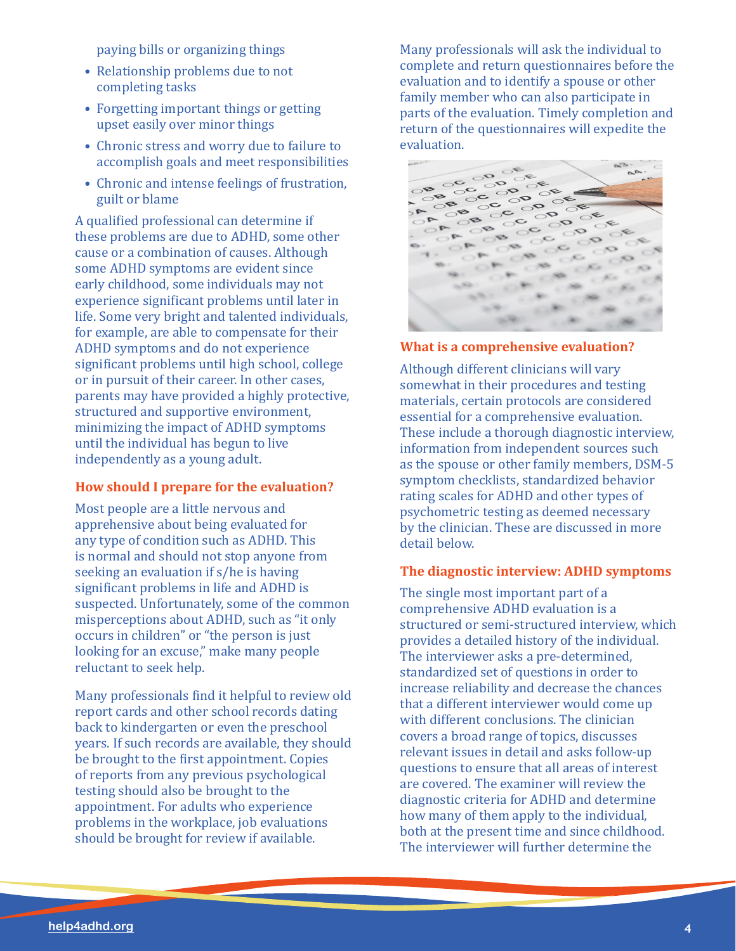paying bills or organizing things

- Relationship problems due to not completing tasks
- Forgetting important things or getting upset easily over minor things
- Chronic stress and worry due to failure to accomplish goals and meet responsibilities
- Chronic and intense feelings of frustration, guilt or blame

A qualified professional can determine if these problems are due to ADHD, some other cause or a combination of causes. Although some ADHD symptoms are evident since early childhood, some individuals may not experience significant problems until later in life. Some very bright and talented individuals, for example, are able to compensate for their ADHD symptoms and do not experience significant problems until high school, college or in pursuit of their career. In other cases, parents may have provided a highly protective, structured and supportive environment, minimizing the impact of ADHD symptoms until the individual has begun to live independently as a young adult.

#### **How should I prepare for the evaluation?**

Most people are a little nervous and apprehensive about being evaluated for any type of condition such as ADHD. This is normal and should not stop anyone from seeking an evaluation if s/he is having significant problems in life and ADHD is suspected. Unfortunately, some of the common misperceptions about ADHD, such as "it only occurs in children" or "the person is just looking for an excuse," make many people reluctant to seek help.

Many professionals find it helpful to review old report cards and other school records dating back to kindergarten or even the preschool years. If such records are available, they should be brought to the first appointment. Copies of reports from any previous psychological testing should also be brought to the appointment. For adults who experience problems in the workplace, job evaluations should be brought for review if available.

Many professionals will ask the individual to complete and return questionnaires before the evaluation and to identify a spouse or other family member who can also participate in parts of the evaluation. Timely completion and return of the questionnaires will expedite the evaluation.



#### **What is a comprehensive evaluation?**

Although different clinicians will vary somewhat in their procedures and testing materials, certain protocols are considered essential for a comprehensive evaluation. These include a thorough diagnostic interview, information from independent sources such as the spouse or other family members, DSM-5 symptom checklists, standardized behavior rating scales for ADHD and other types of psychometric testing as deemed necessary by the clinician. These are discussed in more detail below.

#### **The diagnostic interview: ADHD symptoms**

The single most important part of a comprehensive ADHD evaluation is a structured or semi-structured interview, which provides a detailed history of the individual. The interviewer asks a pre-determined, standardized set of questions in order to increase reliability and decrease the chances that a different interviewer would come up with different conclusions. The clinician covers a broad range of topics, discusses relevant issues in detail and asks follow-up questions to ensure that all areas of interest are covered. The examiner will review the diagnostic criteria for ADHD and determine how many of them apply to the individual, both at the present time and since childhood. The interviewer will further determine the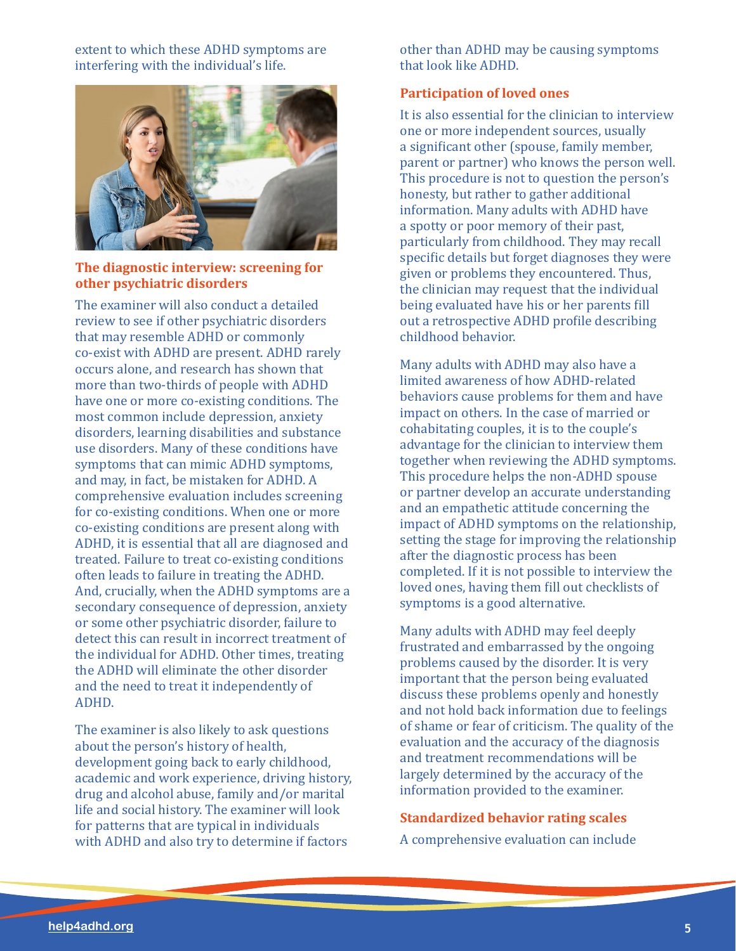extent to which these ADHD symptoms are interfering with the individual's life.



# **The diagnostic interview: screening for other psychiatric disorders**

The examiner will also conduct a detailed review to see if other psychiatric disorders that may resemble ADHD or commonly co-exist with ADHD are present. ADHD rarely occurs alone, and research has shown that more than two-thirds of people with ADHD have one or more co-existing conditions. The most common include depression, anxiety disorders, learning disabilities and substance use disorders. Many of these conditions have symptoms that can mimic ADHD symptoms, and may, in fact, be mistaken for ADHD. A comprehensive evaluation includes screening for co-existing conditions. When one or more co-existing conditions are present along with ADHD, it is essential that all are diagnosed and treated. Failure to treat co-existing conditions often leads to failure in treating the ADHD. And, crucially, when the ADHD symptoms are a secondary consequence of depression, anxiety or some other psychiatric disorder, failure to detect this can result in incorrect treatment of the individual for ADHD. Other times, treating the ADHD will eliminate the other disorder and the need to treat it independently of ADHD.

The examiner is also likely to ask questions about the person's history of health, development going back to early childhood, academic and work experience, driving history, drug and alcohol abuse, family and/or marital life and social history. The examiner will look for patterns that are typical in individuals with ADHD and also try to determine if factors

other than ADHD may be causing symptoms that look like ADHD.

## **Participation of loved ones**

It is also essential for the clinician to interview one or more independent sources, usually a significant other (spouse, family member, parent or partner) who knows the person well. This procedure is not to question the person's honesty, but rather to gather additional information. Many adults with ADHD have a spotty or poor memory of their past, particularly from childhood. They may recall specific details but forget diagnoses they were given or problems they encountered. Thus, the clinician may request that the individual being evaluated have his or her parents fill out a retrospective ADHD profile describing childhood behavior.

Many adults with ADHD may also have a limited awareness of how ADHD-related behaviors cause problems for them and have impact on others. In the case of married or cohabitating couples, it is to the couple's advantage for the clinician to interview them together when reviewing the ADHD symptoms. This procedure helps the non-ADHD spouse or partner develop an accurate understanding and an empathetic attitude concerning the impact of ADHD symptoms on the relationship, setting the stage for improving the relationship after the diagnostic process has been completed. If it is not possible to interview the loved ones, having them fill out checklists of symptoms is a good alternative.

Many adults with ADHD may feel deeply frustrated and embarrassed by the ongoing problems caused by the disorder. It is very important that the person being evaluated discuss these problems openly and honestly and not hold back information due to feelings of shame or fear of criticism. The quality of the evaluation and the accuracy of the diagnosis and treatment recommendations will be largely determined by the accuracy of the information provided to the examiner.

#### **Standardized behavior rating scales**

A comprehensive evaluation can include